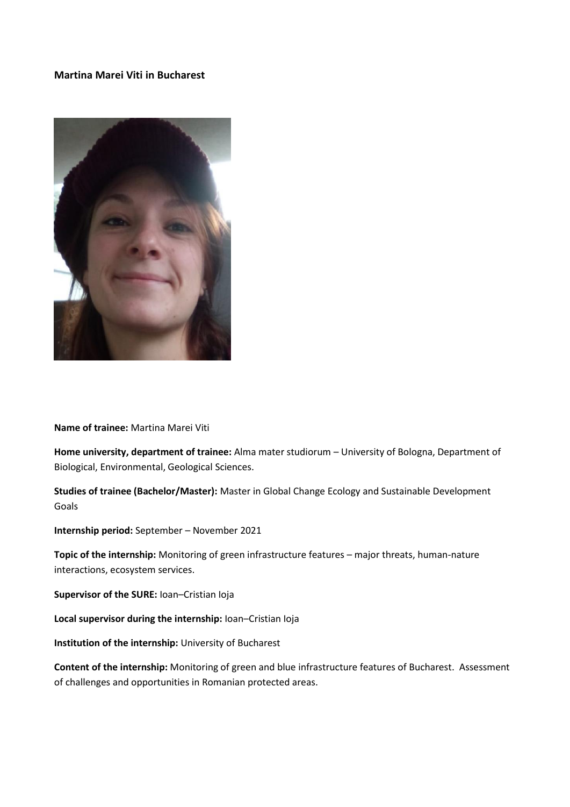## **Martina Marei Viti in Bucharest**



**Name of trainee:** Martina Marei Viti

**Home university, department of trainee:** Alma mater studiorum – University of Bologna, Department of Biological, Environmental, Geological Sciences.

**Studies of trainee (Bachelor/Master):** Master in Global Change Ecology and Sustainable Development Goals

**Internship period:** September – November 2021

**Topic of the internship:** Monitoring of green infrastructure features – major threats, human-nature interactions, ecosystem services.

**Supervisor of the SURE:** Ioan–Cristian Ioja

**Local supervisor during the internship:** Ioan–Cristian Ioja

**Institution of the internship:** University of Bucharest

**Content of the internship:** Monitoring of green and blue infrastructure features of Bucharest. Assessment of challenges and opportunities in Romanian protected areas.